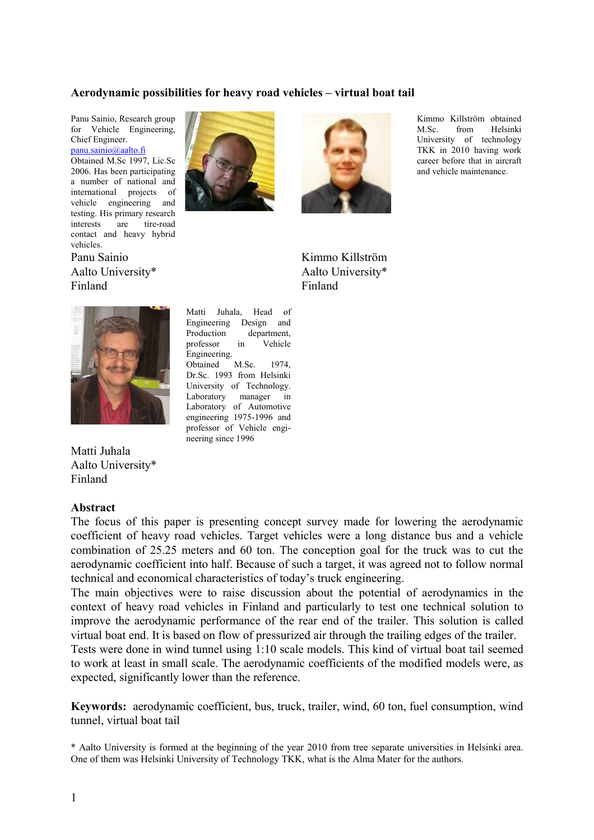#### **Aerodynamic possibilities for heavy road vehicles – virtual boat tail**

Panu Sainio, Research group for Vehicle Engineering, Chief Engineer. [panu.sainio@aalto.fi](mailto:panu.sainio@aalto.fi)

Obtained M.Sc 1997, Lic.Sc 2006. Has been participating a number of national and international projects of vehicle engineering and testing. His primary research interests are tire-road contact and heavy hybrid vehicles.

Panu Sainio Aalto University\* Finland





Kimmo Killström obtained M.Sc. from Helsinki University of technology TKK in 2010 having work career before that in aircraft and vehicle maintenance.

Kimmo Killström Aalto University\* Finland



Matti Juhala Aalto University\* Finland

#### **Abstract**

Engineering Design and Production department, professor in Vehicle Engineering. Obtained M.Sc. 1974, Dr.Sc. 1993 from Helsinki University of Technology. Laboratory manager in Laboratory of Automotive engineering 1975-1996 and professor of Vehicle engineering since 1996

Matti Juhala, Head of

The focus of this paper is presenting concept survey made for lowering the aerodynamic coefficient of heavy road vehicles. Target vehicles were a long distance bus and a vehicle combination of 25.25 meters and 60 ton. The conception goal for the truck was to cut the aerodynamic coefficient into half. Because of such a target, it was agreed not to follow normal technical and economical characteristics of today's truck engineering.

The main objectives were to raise discussion about the potential of aerodynamics in the context of heavy road vehicles in Finland and particularly to test one technical solution to improve the aerodynamic performance of the rear end of the trailer. This solution is called virtual boat end. It is based on flow of pressurized air through the trailing edges of the trailer.

Tests were done in wind tunnel using 1:10 scale models. This kind of virtual boat tail seemed to work at least in small scale. The aerodynamic coefficients of the modified models were, as expected, significantly lower than the reference.

**Keywords:** aerodynamic coefficient, bus, truck, trailer, wind, 60 ton, fuel consumption, wind tunnel, virtual boat tail

\* Aalto University is formed at the beginning of the year 2010 from tree separate universities in Helsinki area. One of them was Helsinki University of Technology TKK, what is the Alma Mater for the authors.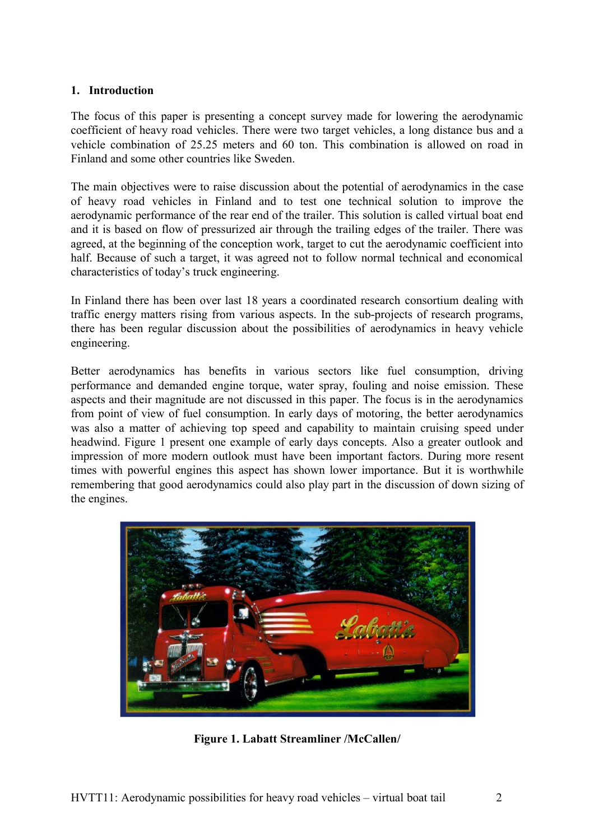#### **1. Introduction**

The focus of this paper is presenting a concept survey made for lowering the aerodynamic coefficient of heavy road vehicles. There were two target vehicles, a long distance bus and a vehicle combination of 25.25 meters and 60 ton. This combination is allowed on road in Finland and some other countries like Sweden.

The main objectives were to raise discussion about the potential of aerodynamics in the case of heavy road vehicles in Finland and to test one technical solution to improve the aerodynamic performance of the rear end of the trailer. This solution is called virtual boat end and it is based on flow of pressurized air through the trailing edges of the trailer. There was agreed, at the beginning of the conception work, target to cut the aerodynamic coefficient into half. Because of such a target, it was agreed not to follow normal technical and economical characteristics of today's truck engineering.

In Finland there has been over last 18 years a coordinated research consortium dealing with traffic energy matters rising from various aspects. In the sub-projects of research programs, there has been regular discussion about the possibilities of aerodynamics in heavy vehicle engineering.

Better aerodynamics has benefits in various sectors like fuel consumption, driving performance and demanded engine torque, water spray, fouling and noise emission. These aspects and their magnitude are not discussed in this paper. The focus is in the aerodynamics from point of view of fuel consumption. In early days of motoring, the better aerodynamics was also a matter of achieving top speed and capability to maintain cruising speed under headwind. Figure 1 present one example of early days concepts. Also a greater outlook and impression of more modern outlook must have been important factors. During more resent times with powerful engines this aspect has shown lower importance. But it is worthwhile remembering that good aerodynamics could also play part in the discussion of down sizing of the engines.



**Figure 1. Labatt Streamliner /McCallen/**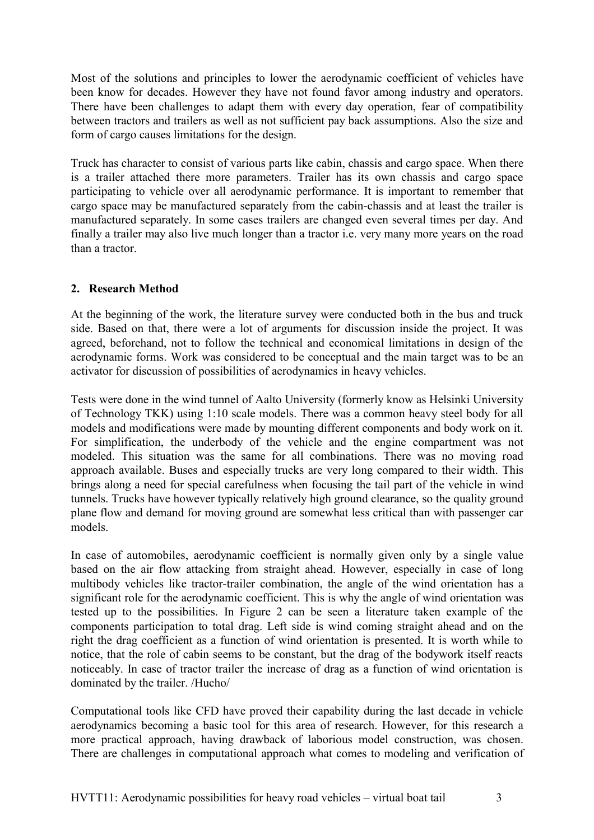Most of the solutions and principles to lower the aerodynamic coefficient of vehicles have been know for decades. However they have not found favor among industry and operators. There have been challenges to adapt them with every day operation, fear of compatibility between tractors and trailers as well as not sufficient pay back assumptions. Also the size and form of cargo causes limitations for the design.

Truck has character to consist of various parts like cabin, chassis and cargo space. When there is a trailer attached there more parameters. Trailer has its own chassis and cargo space participating to vehicle over all aerodynamic performance. It is important to remember that cargo space may be manufactured separately from the cabin-chassis and at least the trailer is manufactured separately. In some cases trailers are changed even several times per day. And finally a trailer may also live much longer than a tractor i.e. very many more years on the road than a tractor.

### **2. Research Method**

At the beginning of the work, the literature survey were conducted both in the bus and truck side. Based on that, there were a lot of arguments for discussion inside the project. It was agreed, beforehand, not to follow the technical and economical limitations in design of the aerodynamic forms. Work was considered to be conceptual and the main target was to be an activator for discussion of possibilities of aerodynamics in heavy vehicles.

Tests were done in the wind tunnel of Aalto University (formerly know as Helsinki University of Technology TKK) using 1:10 scale models. There was a common heavy steel body for all models and modifications were made by mounting different components and body work on it. For simplification, the underbody of the vehicle and the engine compartment was not modeled. This situation was the same for all combinations. There was no moving road approach available. Buses and especially trucks are very long compared to their width. This brings along a need for special carefulness when focusing the tail part of the vehicle in wind tunnels. Trucks have however typically relatively high ground clearance, so the quality ground plane flow and demand for moving ground are somewhat less critical than with passenger car models.

In case of automobiles, aerodynamic coefficient is normally given only by a single value based on the air flow attacking from straight ahead. However, especially in case of long multibody vehicles like tractor-trailer combination, the angle of the wind orientation has a significant role for the aerodynamic coefficient. This is why the angle of wind orientation was tested up to the possibilities. In Figure 2 can be seen a literature taken example of the components participation to total drag. Left side is wind coming straight ahead and on the right the drag coefficient as a function of wind orientation is presented. It is worth while to notice, that the role of cabin seems to be constant, but the drag of the bodywork itself reacts noticeably. In case of tractor trailer the increase of drag as a function of wind orientation is dominated by the trailer. /Hucho/

Computational tools like CFD have proved their capability during the last decade in vehicle aerodynamics becoming a basic tool for this area of research. However, for this research a more practical approach, having drawback of laborious model construction, was chosen. There are challenges in computational approach what comes to modeling and verification of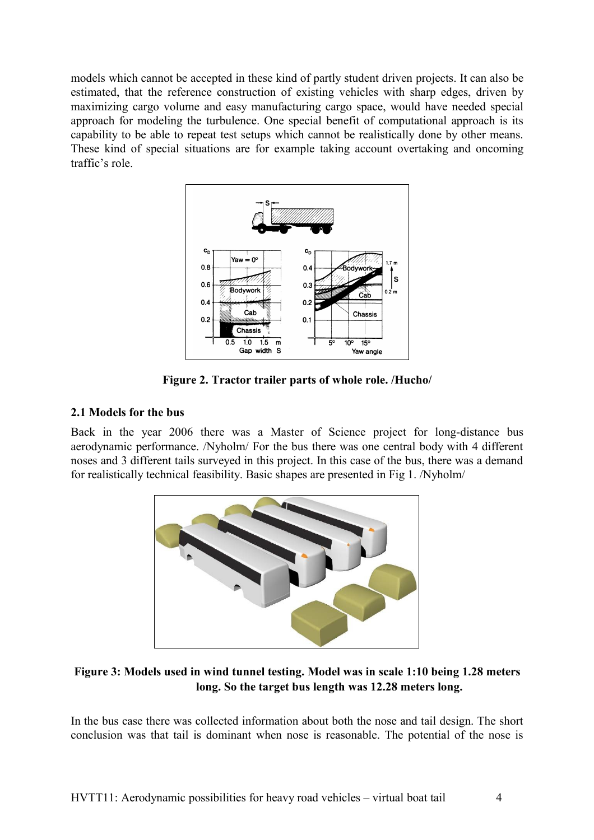models which cannot be accepted in these kind of partly student driven projects. It can also be estimated, that the reference construction of existing vehicles with sharp edges, driven by maximizing cargo volume and easy manufacturing cargo space, would have needed special approach for modeling the turbulence. One special benefit of computational approach is its capability to be able to repeat test setups which cannot be realistically done by other means. These kind of special situations are for example taking account overtaking and oncoming traffic's role.



**Figure 2. Tractor trailer parts of whole role. /Hucho/**

# **2.1 Models for the bus**

Back in the year 2006 there was a Master of Science project for long-distance bus aerodynamic performance. /Nyholm/ For the bus there was one central body with 4 different noses and 3 different tails surveyed in this project. In this case of the bus, there was a demand for realistically technical feasibility. Basic shapes are presented in Fig 1. /Nyholm/



# **Figure 3: Models used in wind tunnel testing. Model was in scale 1:10 being 1.28 meters long. So the target bus length was 12.28 meters long.**

In the bus case there was collected information about both the nose and tail design. The short conclusion was that tail is dominant when nose is reasonable. The potential of the nose is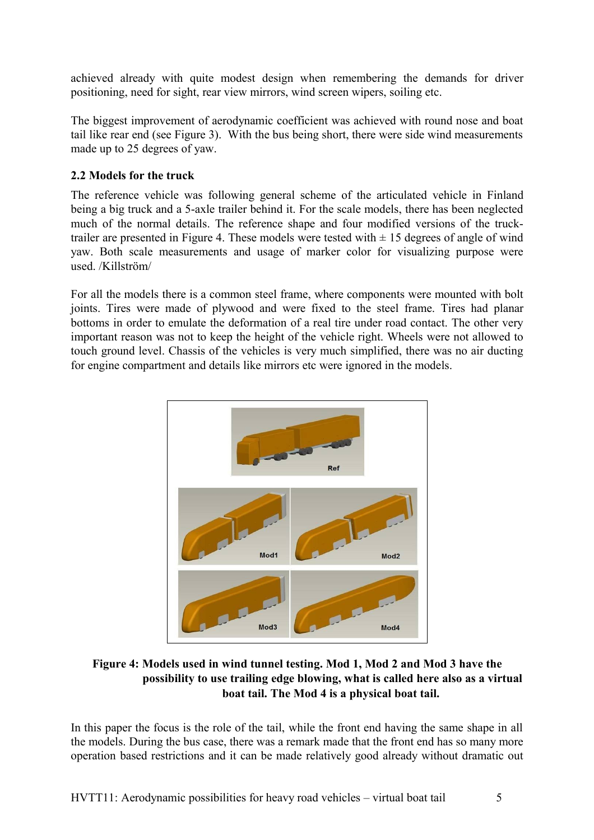achieved already with quite modest design when remembering the demands for driver positioning, need for sight, rear view mirrors, wind screen wipers, soiling etc.

The biggest improvement of aerodynamic coefficient was achieved with round nose and boat tail like rear end (see Figure 3). With the bus being short, there were side wind measurements made up to 25 degrees of yaw.

# **2.2 Models for the truck**

The reference vehicle was following general scheme of the articulated vehicle in Finland being a big truck and a 5-axle trailer behind it. For the scale models, there has been neglected much of the normal details. The reference shape and four modified versions of the trucktrailer are presented in Figure 4. These models were tested with  $\pm$  15 degrees of angle of wind yaw. Both scale measurements and usage of marker color for visualizing purpose were used. /Killström/

For all the models there is a common steel frame, where components were mounted with bolt joints. Tires were made of plywood and were fixed to the steel frame. Tires had planar bottoms in order to emulate the deformation of a real tire under road contact. The other very important reason was not to keep the height of the vehicle right. Wheels were not allowed to touch ground level. Chassis of the vehicles is very much simplified, there was no air ducting for engine compartment and details like mirrors etc were ignored in the models.



# **Figure 4: Models used in wind tunnel testing. Mod 1, Mod 2 and Mod 3 have the possibility to use trailing edge blowing, what is called here also as a virtual boat tail. The Mod 4 is a physical boat tail.**

In this paper the focus is the role of the tail, while the front end having the same shape in all the models. During the bus case, there was a remark made that the front end has so many more operation based restrictions and it can be made relatively good already without dramatic out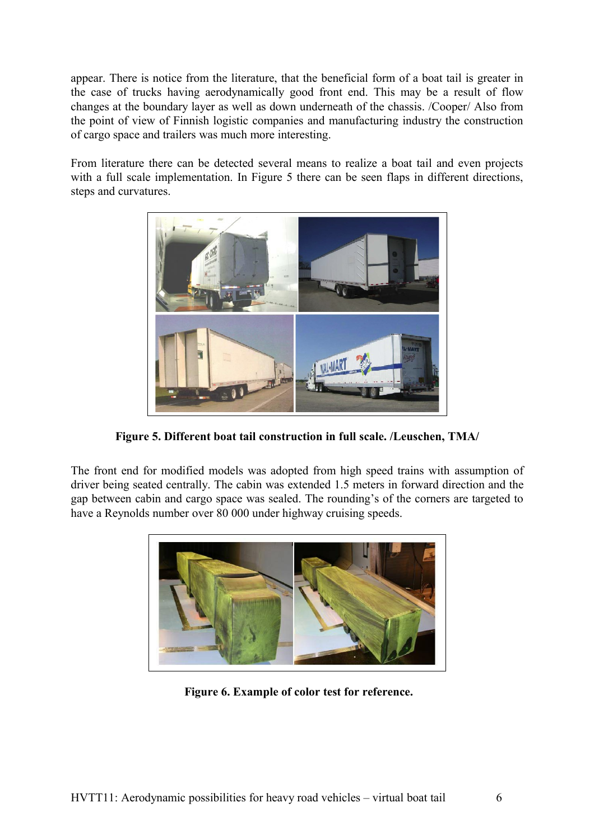appear. There is notice from the literature, that the beneficial form of a boat tail is greater in the case of trucks having aerodynamically good front end. This may be a result of flow changes at the boundary layer as well as down underneath of the chassis. /Cooper/ Also from the point of view of Finnish logistic companies and manufacturing industry the construction of cargo space and trailers was much more interesting.

From literature there can be detected several means to realize a boat tail and even projects with a full scale implementation. In Figure 5 there can be seen flaps in different directions, steps and curvatures.



**Figure 5. Different boat tail construction in full scale. /Leuschen, TMA/**

The front end for modified models was adopted from high speed trains with assumption of driver being seated centrally. The cabin was extended 1.5 meters in forward direction and the gap between cabin and cargo space was sealed. The rounding's of the corners are targeted to have a Reynolds number over 80 000 under highway cruising speeds.



 **Figure 6. Example of color test for reference.**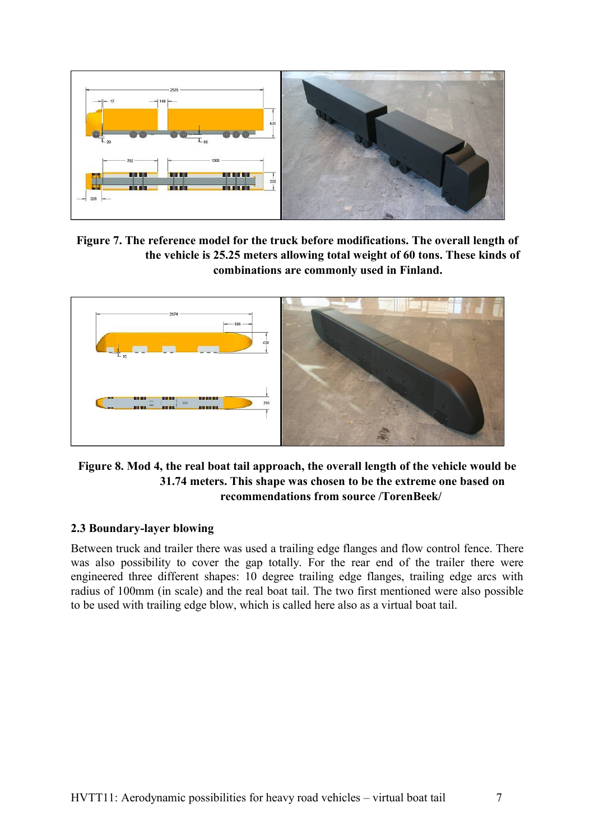

**Figure 7. The reference model for the truck before modifications. The overall length of the vehicle is 25.25 meters allowing total weight of 60 tons. These kinds of combinations are commonly used in Finland.** 



## **Figure 8. Mod 4, the real boat tail approach, the overall length of the vehicle would be 31.74 meters. This shape was chosen to be the extreme one based on recommendations from source /TorenBeek/**

# **2.3 Boundary-layer blowing**

Between truck and trailer there was used a trailing edge flanges and flow control fence. There was also possibility to cover the gap totally. For the rear end of the trailer there were engineered three different shapes: 10 degree trailing edge flanges, trailing edge arcs with radius of 100mm (in scale) and the real boat tail. The two first mentioned were also possible to be used with trailing edge blow, which is called here also as a virtual boat tail.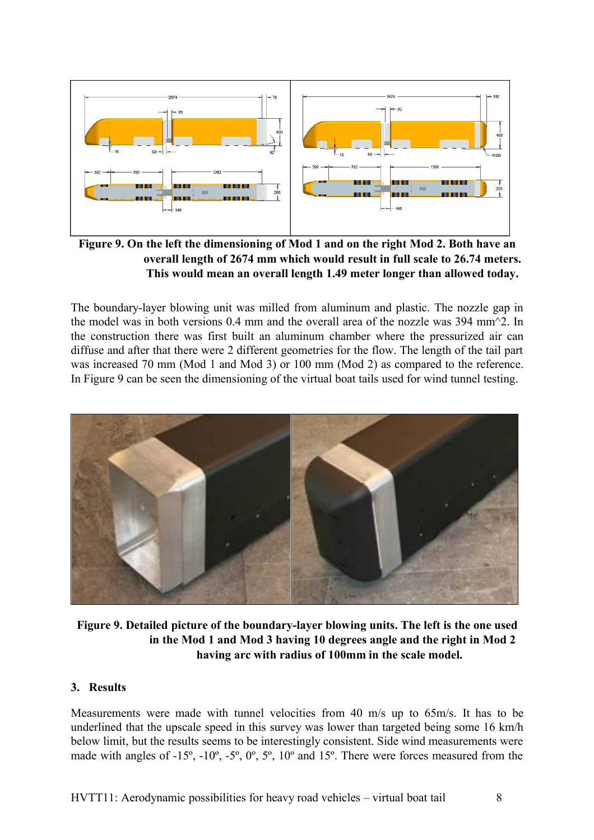

**Figure 9. On the left the dimensioning of Mod 1 and on the right Mod 2. Both have an overall length of 2674 mm which would result in full scale to 26.74 meters. This would mean an overall length 1.49 meter longer than allowed today.**

The boundary-layer blowing unit was milled from aluminum and plastic. The nozzle gap in the model was in both versions 0.4 mm and the overall area of the nozzle was 394 mm^2. In the construction there was first built an aluminum chamber where the pressurized air can diffuse and after that there were 2 different geometries for the flow. The length of the tail part was increased 70 mm (Mod 1 and Mod 3) or 100 mm (Mod 2) as compared to the reference. In Figure 9 can be seen the dimensioning of the virtual boat tails used for wind tunnel testing.



**Figure 9. Detailed picture of the boundary-layer blowing units. The left is the one used in the Mod 1 and Mod 3 having 10 degrees angle and the right in Mod 2 having arc with radius of 100mm in the scale model.** 

#### **3. Results**

Measurements were made with tunnel velocities from 40 m/s up to 65m/s. It has to be underlined that the upscale speed in this survey was lower than targeted being some 16 km/h below limit, but the results seems to be interestingly consistent. Side wind measurements were made with angles of -15º, -10º, -5º, 0º, 5º, 10º and 15º. There were forces measured from the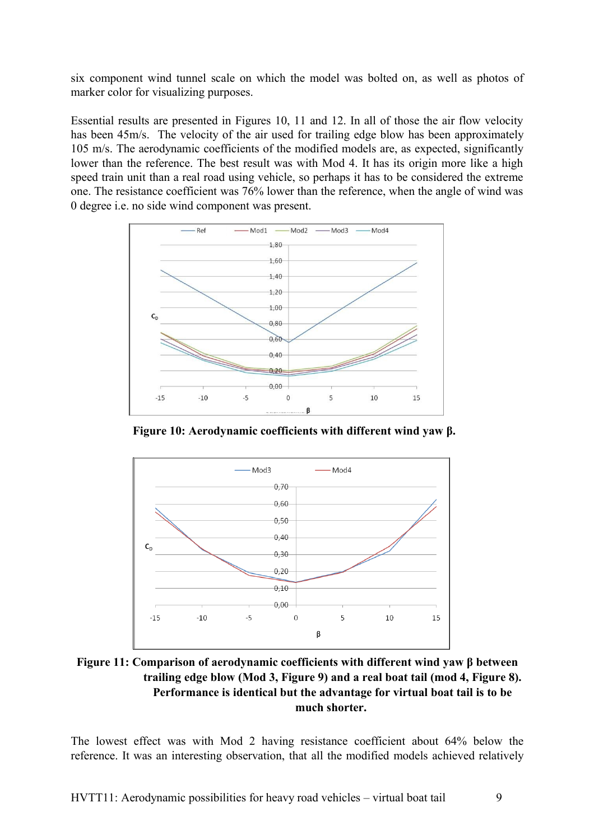six component wind tunnel scale on which the model was bolted on, as well as photos of marker color for visualizing purposes.

Essential results are presented in Figures 10, 11 and 12. In all of those the air flow velocity has been 45m/s. The velocity of the air used for trailing edge blow has been approximately 105 m/s. The aerodynamic coefficients of the modified models are, as expected, significantly lower than the reference. The best result was with Mod 4. It has its origin more like a high speed train unit than a real road using vehicle, so perhaps it has to be considered the extreme one. The resistance coefficient was 76% lower than the reference, when the angle of wind was 0 degree i.e. no side wind component was present.



**Figure 10: Aerodynamic coefficients with different wind yaw β.** 



**Figure 11: Comparison of aerodynamic coefficients with different wind yaw β between trailing edge blow (Mod 3, Figure 9) and a real boat tail (mod 4, Figure 8). Performance is identical but the advantage for virtual boat tail is to be much shorter.** 

The lowest effect was with Mod 2 having resistance coefficient about 64% below the reference. It was an interesting observation, that all the modified models achieved relatively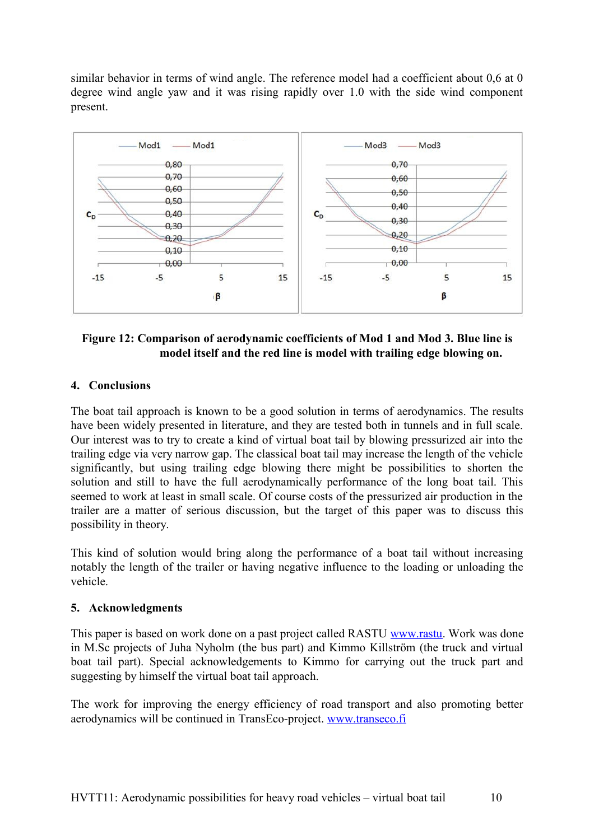similar behavior in terms of wind angle. The reference model had a coefficient about 0.6 at 0 degree wind angle yaw and it was rising rapidly over 1.0 with the side wind component present.



# **Figure 12: Comparison of aerodynamic coefficients of Mod 1 and Mod 3. Blue line is model itself and the red line is model with trailing edge blowing on.**

# **4. Conclusions**

The boat tail approach is known to be a good solution in terms of aerodynamics. The results have been widely presented in literature, and they are tested both in tunnels and in full scale. Our interest was to try to create a kind of virtual boat tail by blowing pressurized air into the trailing edge via very narrow gap. The classical boat tail may increase the length of the vehicle significantly, but using trailing edge blowing there might be possibilities to shorten the solution and still to have the full aerodynamically performance of the long boat tail. This seemed to work at least in small scale. Of course costs of the pressurized air production in the trailer are a matter of serious discussion, but the target of this paper was to discuss this possibility in theory.

This kind of solution would bring along the performance of a boat tail without increasing notably the length of the trailer or having negative influence to the loading or unloading the vehicle.

### **5. Acknowledgments**

This paper is based on work done on a past project called RASTU [www.rastu.](http://www.rastu/) Work was done in M.Sc projects of Juha Nyholm (the bus part) and Kimmo Killström (the truck and virtual boat tail part). Special acknowledgements to Kimmo for carrying out the truck part and suggesting by himself the virtual boat tail approach.

The work for improving the energy efficiency of road transport and also promoting better aerodynamics will be continued in TransEco-project. [www.transeco.fi](http://www.transeco.fi/)